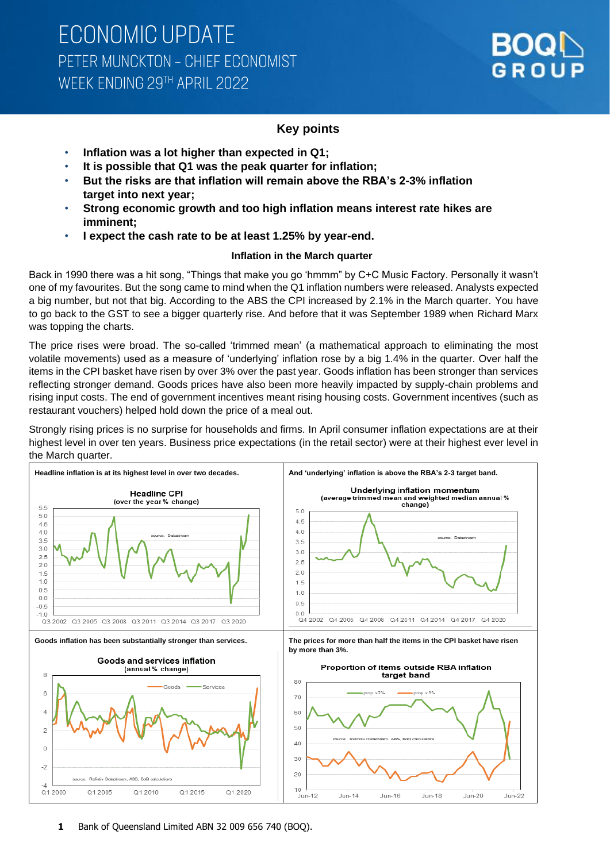

#### **Key points**

- **Inflation was a lot higher than expected in Q1;**
- **It is possible that Q1 was the peak quarter for inflation;**
- **But the risks are that inflation will remain above the RBA's 2-3% inflation target into next year;**
- **Strong economic growth and too high inflation means interest rate hikes are imminent;**
- **I expect the cash rate to be at least 1.25% by year-end.**

#### **Inflation in the March quarter**

Back in 1990 there was a hit song, "Things that make you go 'hmmm" by C+C Music Factory. Personally it wasn't one of my favourites. But the song came to mind when the Q1 inflation numbers were released. Analysts expected a big number, but not that big. According to the ABS the CPI increased by 2.1% in the March quarter. You have to go back to the GST to see a bigger quarterly rise. And before that it was September 1989 when Richard Marx was topping the charts.

The price rises were broad. The so-called 'trimmed mean' (a mathematical approach to eliminating the most volatile movements) used as a measure of 'underlying' inflation rose by a big 1.4% in the quarter. Over half the items in the CPI basket have risen by over 3% over the past year. Goods inflation has been stronger than services reflecting stronger demand. Goods prices have also been more heavily impacted by supply-chain problems and rising input costs. The end of government incentives meant rising housing costs. Government incentives (such as restaurant vouchers) helped hold down the price of a meal out.

Strongly rising prices is no surprise for households and firms. In April consumer inflation expectations are at their highest level in over ten years. Business price expectations (in the retail sector) were at their highest ever level in the March quarter.

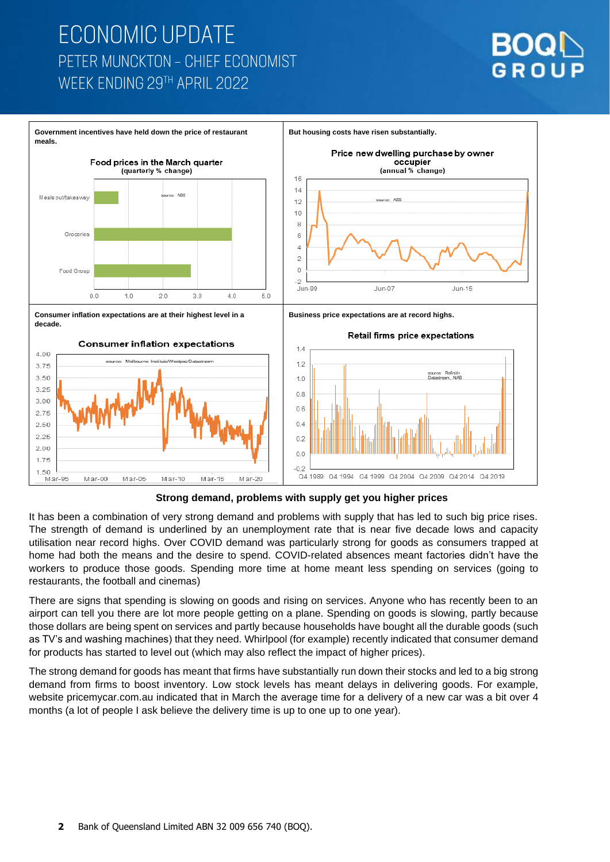



**Strong demand, problems with supply get you higher prices**

It has been a combination of very strong demand and problems with supply that has led to such big price rises. The strength of demand is underlined by an unemployment rate that is near five decade lows and capacity utilisation near record highs. Over COVID demand was particularly strong for goods as consumers trapped at home had both the means and the desire to spend. COVID-related absences meant factories didn't have the workers to produce those goods. Spending more time at home meant less spending on services (going to restaurants, the football and cinemas)

There are signs that spending is slowing on goods and rising on services. Anyone who has recently been to an airport can tell you there are lot more people getting on a plane. Spending on goods is slowing, partly because those dollars are being spent on services and partly because households have bought all the durable goods (such as TV's and washing machines) that they need. Whirlpool (for example) recently indicated that consumer demand for products has started to level out (which may also reflect the impact of higher prices).

The strong demand for goods has meant that firms have substantially run down their stocks and led to a big strong demand from firms to boost inventory. Low stock levels has meant delays in delivering goods. For example, website pricemycar.com.au indicated that in March the average time for a delivery of a new car was a bit over 4 months (a lot of people I ask believe the delivery time is up to one up to one year).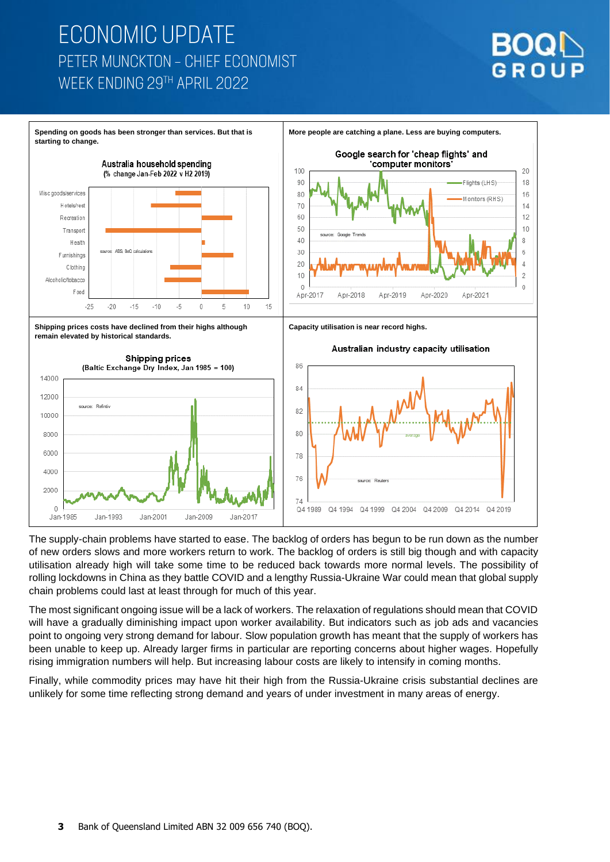



The supply-chain problems have started to ease. The backlog of orders has begun to be run down as the number of new orders slows and more workers return to work. The backlog of orders is still big though and with capacity utilisation already high will take some time to be reduced back towards more normal levels. The possibility of rolling lockdowns in China as they battle COVID and a lengthy Russia-Ukraine War could mean that global supply chain problems could last at least through for much of this year.

The most significant ongoing issue will be a lack of workers. The relaxation of regulations should mean that COVID will have a gradually diminishing impact upon worker availability. But indicators such as job ads and vacancies point to ongoing very strong demand for labour. Slow population growth has meant that the supply of workers has been unable to keep up. Already larger firms in particular are reporting concerns about higher wages. Hopefully rising immigration numbers will help. But increasing labour costs are likely to intensify in coming months.

Finally, while commodity prices may have hit their high from the Russia-Ukraine crisis substantial declines are unlikely for some time reflecting strong demand and years of under investment in many areas of energy.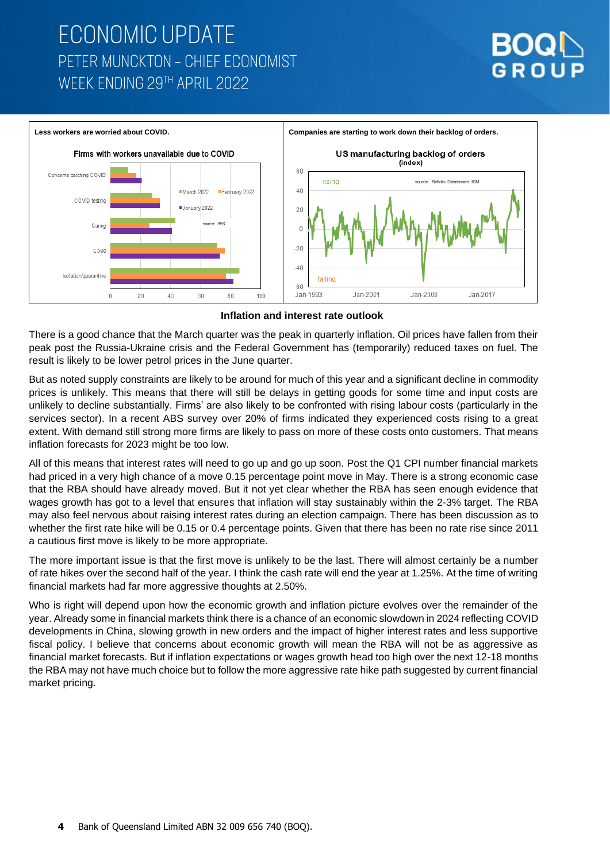



**Inflation and interest rate outlook**

There is a good chance that the March quarter was the peak in quarterly inflation. Oil prices have fallen from their peak post the Russia-Ukraine crisis and the Federal Government has (temporarily) reduced taxes on fuel. The result is likely to be lower petrol prices in the June quarter.

But as noted supply constraints are likely to be around for much of this year and a significant decline in commodity prices is unlikely. This means that there will still be delays in getting goods for some time and input costs are unlikely to decline substantially. Firms' are also likely to be confronted with rising labour costs (particularly in the services sector). In a recent ABS survey over 20% of firms indicated they experienced costs rising to a great extent. With demand still strong more firms are likely to pass on more of these costs onto customers. That means inflation forecasts for 2023 might be too low.

All of this means that interest rates will need to go up and go up soon. Post the Q1 CPI number financial markets had priced in a very high chance of a move 0.15 percentage point move in May. There is a strong economic case that the RBA should have already moved. But it not yet clear whether the RBA has seen enough evidence that wages growth has got to a level that ensures that inflation will stay sustainably within the 2-3% target. The RBA may also feel nervous about raising interest rates during an election campaign. There has been discussion as to whether the first rate hike will be 0.15 or 0.4 percentage points. Given that there has been no rate rise since 2011 a cautious first move is likely to be more appropriate.

The more important issue is that the first move is unlikely to be the last. There will almost certainly be a number of rate hikes over the second half of the year. I think the cash rate will end the year at 1.25%. At the time of writing financial markets had far more aggressive thoughts at 2.50%.

Who is right will depend upon how the economic growth and inflation picture evolves over the remainder of the year. Already some in financial markets think there is a chance of an economic slowdown in 2024 reflecting COVID developments in China, slowing growth in new orders and the impact of higher interest rates and less supportive fiscal policy. I believe that concerns about economic growth will mean the RBA will not be as aggressive as financial market forecasts. But if inflation expectations or wages growth head too high over the next 12-18 months the RBA may not have much choice but to follow the more aggressive rate hike path suggested by current financial market pricing.